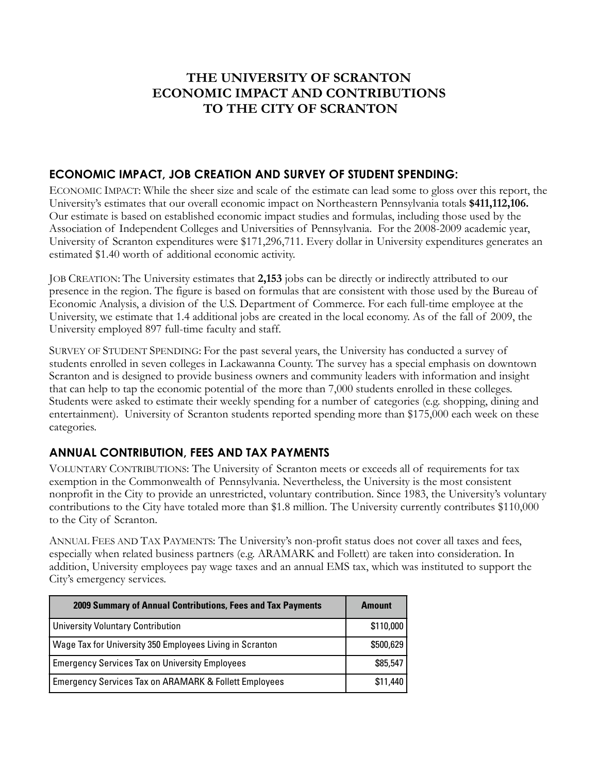# **THE UNIVERSITY OF SCRANTON ECONOMIC IMPACT AND CONTRIBUTIONS TO THE CITY OF SCRANTON**

### **ECONOMIC IMPACT, JOB CREATION AND SURVEY OF STUDENT SPENDING:**

ECONOMIC IMPACT: While the sheer size and scale of the estimate can lead some to gloss over this report, the University's estimates that our overall economic impact on Northeastern Pennsylvania totals **\$411,112,106.** Our estimate is based on established economic impact studies and formulas, including those used by the Association of Independent Colleges and Universities of Pennsylvania. For the 2008-2009 academic year, University of Scranton expenditures were \$171,296,711. Every dollar in University expenditures generates an estimated \$1.40 worth of additional economic activity.

JOB CREATION: The University estimates that **2,153** jobs can be directly or indirectly attributed to our presence in the region. The figure is based on formulas that are consistent with those used by the Bureau of Economic Analysis, a division of the U.S. Department of Commerce. For each full-time employee at the University, we estimate that 1.4 additional jobs are created in the local economy. As of the fall of 2009, the University employed 897 full-time faculty and staff.

SURVEY OF STUDENT SPENDING: For the past several years, the University has conducted a survey of students enrolled in seven colleges in Lackawanna County. The survey has a special emphasis on downtown Scranton and is designed to provide business owners and community leaders with information and insight that can help to tap the economic potential of the more than 7,000 students enrolled in these colleges. Students were asked to estimate their weekly spending for a number of categories (e.g. shopping, dining and entertainment). University of Scranton students reported spending more than \$175,000 each week on these categories.

## **ANNUAL CONTRIBUTION, FEES AND TAX PAYMENTS**

VOLUNTARY CONTRIBUTIONS: The University of Scranton meets or exceeds all of requirements for tax exemption in the Commonwealth of Pennsylvania. Nevertheless, the University is the most consistent nonprofit in the City to provide an unrestricted, voluntary contribution. Since 1983, the University's voluntary contributions to the City have totaled more than \$1.8 million. The University currently contributes \$110,000 to the City of Scranton.

ANNUAL FEES AND TAX PAYMENTS: The University's non-profit status does not cover all taxes and fees, especially when related business partners (e.g. ARAMARK and Follett) are taken into consideration. In addition, University employees pay wage taxes and an annual EMS tax, which was instituted to support the City's emergency services.

| 2009 Summary of Annual Contributions, Fees and Tax Payments      | <b>Amount</b> |
|------------------------------------------------------------------|---------------|
| <b>University Voluntary Contribution</b>                         | \$110,000     |
| Wage Tax for University 350 Employees Living in Scranton         | \$500,629     |
| <b>Emergency Services Tax on University Employees</b>            | \$85,547      |
| <b>Emergency Services Tax on ARAMARK &amp; Follett Employees</b> | \$11,440      |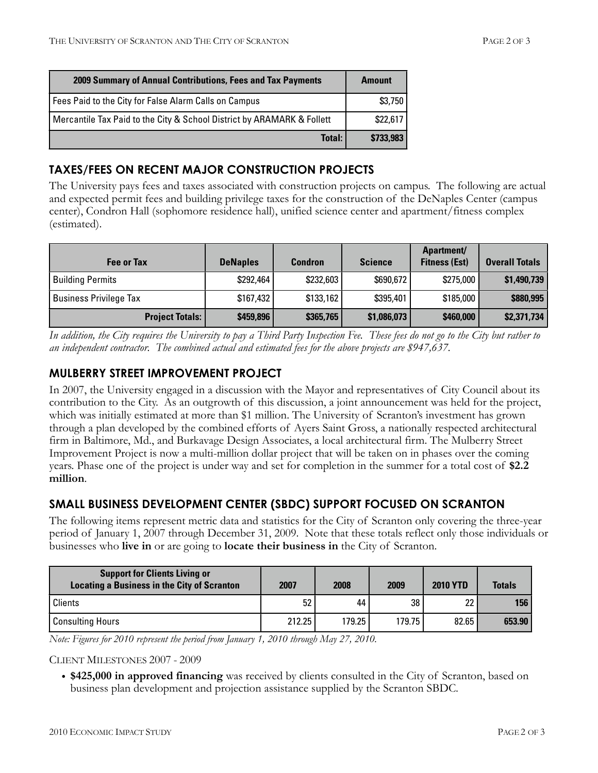| <b>2009 Summary of Annual Contributions, Fees and Tax Payments</b>     | <b>Amount</b> |
|------------------------------------------------------------------------|---------------|
| Fees Paid to the City for False Alarm Calls on Campus                  | \$3,750       |
| Mercantile Tax Paid to the City & School District by ARAMARK & Follett | \$22,617      |
| Total:                                                                 | \$733,983     |

### **TAXES/FEES ON RECENT MAJOR CONSTRUCTION PROJECTS**

The University pays fees and taxes associated with construction projects on campus. The following are actual and expected permit fees and building privilege taxes for the construction of the DeNaples Center (campus center), Condron Hall (sophomore residence hall), unified science center and apartment/fitness complex (estimated).

| <b>Fee or Tax</b>             | <b>DeNaples</b> | <b>Condron</b> | <b>Science</b> | Apartment/<br><b>Fitness (Est)</b> | <b>Overall Totals</b> |
|-------------------------------|-----------------|----------------|----------------|------------------------------------|-----------------------|
| <b>Building Permits</b>       | \$292,464       | \$232,603      | \$690,672      | \$275,000                          | \$1,490,739           |
| <b>Business Privilege Tax</b> | \$167,432       | \$133,162      | \$395,401      | \$185,000                          | \$880,995             |
| <b>Project Totals:</b>        | \$459,896       | \$365,765      | \$1,086,073    | \$460,000                          | \$2,371,734           |

*In addition, the City requires the University to pay a Third Party Inspection Fee. These fees do not go to the City but rather to an independent contractor. The combined actual and estimated fees for the above projects are \$947,637.*

### **MULBERRY STREET IMPROVEMENT PROJECT**

In 2007, the University engaged in a discussion with the Mayor and representatives of City Council about its contribution to the City. As an outgrowth of this discussion, a joint announcement was held for the project, which was initially estimated at more than \$1 million. The University of Scranton's investment has grown through a plan developed by the combined efforts of Ayers Saint Gross, a nationally respected architectural firm in Baltimore, Md., and Burkavage Design Associates, a local architectural firm. The Mulberry Street Improvement Project is now a multi-million dollar project that will be taken on in phases over the coming years. Phase one of the project is under way and set for completion in the summer for a total cost of **\$2.2 million**.

### **SMALL BUSINESS DEVELOPMENT CENTER (SBDC) SUPPORT FOCUSED ON SCRANTON**

The following items represent metric data and statistics for the City of Scranton only covering the three-year period of January 1, 2007 through December 31, 2009. Note that these totals reflect only those individuals or businesses who **live in** or are going to **locate their business in** the City of Scranton.

| <b>Support for Clients Living or</b><br><b>Locating a Business in the City of Scranton</b> | 2007   | 2008   | 2009   | <b>2010 YTD</b> | <b>Totals</b> |
|--------------------------------------------------------------------------------------------|--------|--------|--------|-----------------|---------------|
| <b>Clients</b>                                                                             | 52     | 44     | 38     | າາ<br>LL        | 156           |
| <b>Consulting Hours</b>                                                                    | 212.25 | 179.25 | 179.75 | 82.65           | 653.90        |

*Note: Figures for 2010 represent the period from January 1, 2010 through May 27, 2010.*

#### CLIENT MILESTONES 2007 - 2009

• **\$425,000 in approved financing** was received by clients consulted in the City of Scranton, based on business plan development and projection assistance supplied by the Scranton SBDC.